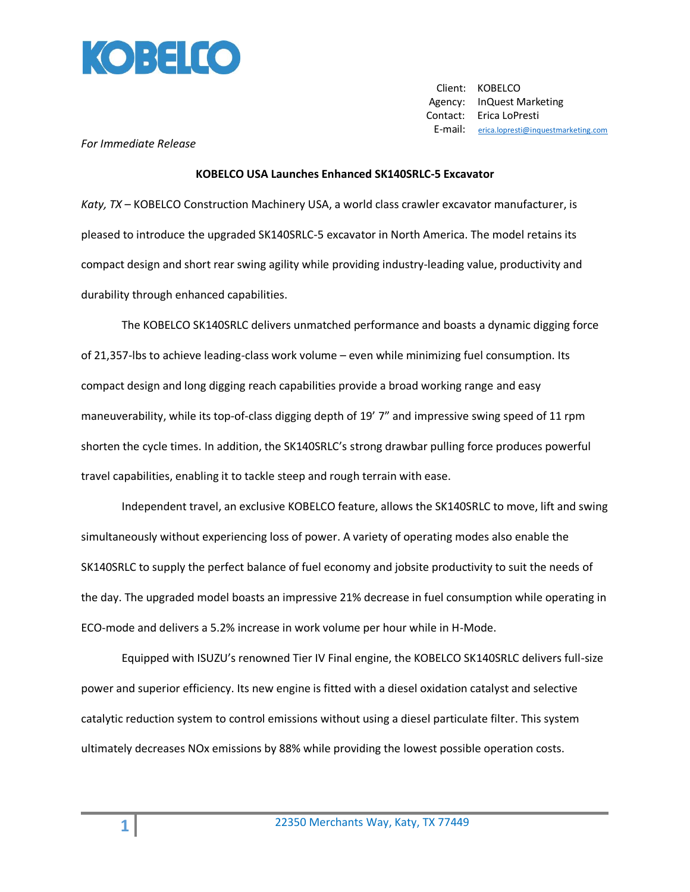

 Client: KOBELCO Agency: InQuest Marketing Contact: Erica LoPresti E-mail: [erica.lopresti@inquestmarketing.com](mailto:erica.lopresti@inquestmarketing.com)

## *For Immediate Release*

## **KOBELCO USA Launches Enhanced SK140SRLC-5 Excavator**

*Katy, TX* – KOBELCO Construction Machinery USA, a world class crawler excavator manufacturer, is pleased to introduce the upgraded SK140SRLC-5 excavator in North America. The model retains its compact design and short rear swing agility while providing industry-leading value, productivity and durability through enhanced capabilities.

The KOBELCO SK140SRLC delivers unmatched performance and boasts a dynamic digging force of 21,357-lbs to achieve leading-class work volume – even while minimizing fuel consumption. Its compact design and long digging reach capabilities provide a broad working range and easy maneuverability, while its top-of-class digging depth of 19' 7" and impressive swing speed of 11 rpm shorten the cycle times. In addition, the SK140SRLC's strong drawbar pulling force produces powerful travel capabilities, enabling it to tackle steep and rough terrain with ease.

Independent travel, an exclusive KOBELCO feature, allows the SK140SRLC to move, lift and swing simultaneously without experiencing loss of power. A variety of operating modes also enable the SK140SRLC to supply the perfect balance of fuel economy and jobsite productivity to suit the needs of the day. The upgraded model boasts an impressive 21% decrease in fuel consumption while operating in ECO-mode and delivers a 5.2% increase in work volume per hour while in H-Mode.

Equipped with ISUZU's renowned Tier IV Final engine, the KOBELCO SK140SRLC delivers full-size power and superior efficiency. Its new engine is fitted with a diesel oxidation catalyst and selective catalytic reduction system to control emissions without using a diesel particulate filter. This system ultimately decreases NOx emissions by 88% while providing the lowest possible operation costs.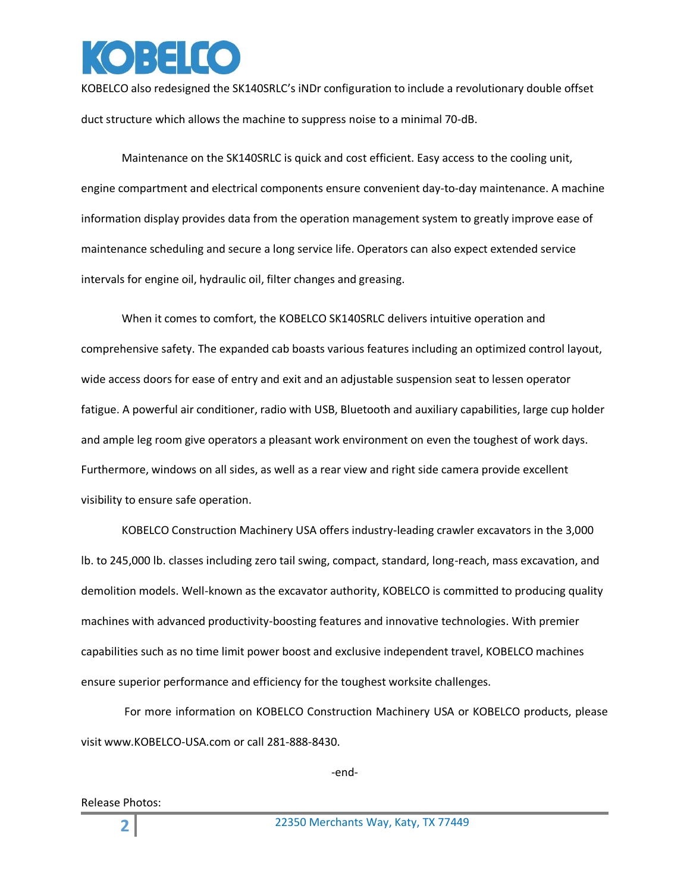

KOBELCO also redesigned the SK140SRLC's iNDr configuration to include a revolutionary double offset duct structure which allows the machine to suppress noise to a minimal 70-dB.

Maintenance on the SK140SRLC is quick and cost efficient. Easy access to the cooling unit, engine compartment and electrical components ensure convenient day-to-day maintenance. A machine information display provides data from the operation management system to greatly improve ease of maintenance scheduling and secure a long service life. Operators can also expect extended service intervals for engine oil, hydraulic oil, filter changes and greasing.

When it comes to comfort, the KOBELCO SK140SRLC delivers intuitive operation and comprehensive safety. The expanded cab boasts various features including an optimized control layout, wide access doors for ease of entry and exit and an adjustable suspension seat to lessen operator fatigue. A powerful air conditioner, radio with USB, Bluetooth and auxiliary capabilities, large cup holder and ample leg room give operators a pleasant work environment on even the toughest of work days. Furthermore, windows on all sides, as well as a rear view and right side camera provide excellent visibility to ensure safe operation.

KOBELCO Construction Machinery USA offers industry-leading crawler excavators in the 3,000 lb. to 245,000 lb. classes including zero tail swing, compact, standard, long-reach, mass excavation, and demolition models. Well-known as the excavator authority, KOBELCO is committed to producing quality machines with advanced productivity-boosting features and innovative technologies. With premier capabilities such as no time limit power boost and exclusive independent travel, KOBELCO machines ensure superior performance and efficiency for the toughest worksite challenges.

For more information on KOBELCO Construction Machinery USA or KOBELCO products, please visit www.KOBELCO-USA.com or call 281-888-8430.

-end-

Release Photos: